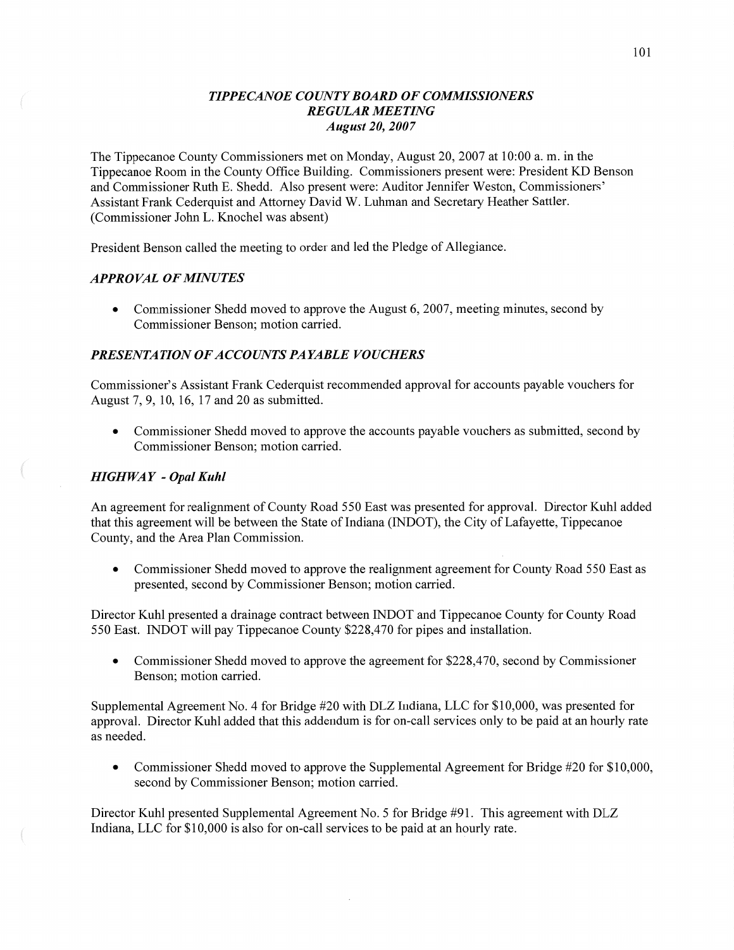## *TIPPECANOE COUNTY BOARD* OF *COMMISSIONERS REGULAR MEETING August* 20, *2007*

The Tippecanoe County Commissioners met on Monday, August 20, 2007 at 10:00 a. m. in the Tippecanoe Room in the County Office Building. Commissioners present were: President KD Benson and Commissioner Ruth B. Shedd. Also present were: Auditor Jennifer Weston, Commissioners' Assistant Frank Cederquist and Attorney David W. Luhman and Secretary Heather Sattler. (Commissioner John L. Knochel was absent)

President Benson called the meeting to order and led the Pledge of Allegiance.

### *APPROVAL* OF *MINUTES*

• Commissioner Shedd moved to approve the August 6, 2007, meeting minutes, second by Commissioner Benson; motion carried.

#### *PRESENTATION* OF *ACCOUNTS PAYABLE VOUCHERS*

Commissioner's Assistant Frank Cederquist recommended approval for accounts payable vouchers for August 7, 9, 10, 16, 17 and 20 as submitted.

• Commissioner Shedd moved to approve the accounts payable vouchers as submitted, second by Commissioner Benson; motion carried.

## *HIGHWAY - Opal Kuhl*

An agreement for realignment of County Road 550 East was presented for approval. Director Kuhl added **that** this agreement will be between the State of Indiana (INDOT), the City of Lafayette, Tippecanoe County, and the Area Plan Commission.

• Commissioner Shedd moved to approve the realignment agreement for County Road 550 East as presented, second by Commissioner Benson; motion carried.

Director Kuhl presented a drainage contract between INDOT and Tippecanoe County for County Road 550 East. INDOT will pay Tippecanoe County \$228,470 for pipes and installation.

• Commissioner Shedd moved to approve the agreement for \$228,470, second by Commissioner Benson; motion carried.

Supplemental Agreement No. 4 for Bridge #20 with DLZ Indiana, LLC for \$10,000, was presented for approval. Director Kuhl added that this addendum is for on-call services only to be paid at an hourly rate as needed.

• Commissioner Shedd moved to approve the Supplemental Agreement for Bridge #20 for \$10,000, second by Commissioner Benson; motion carried.

Director Kuhl presented Supplemental Agreement No. 5 for Bridge #91. This agreement with DLZ Indiana, LLC for \$10,000 is also for on-call services to be paid at an hourly rate.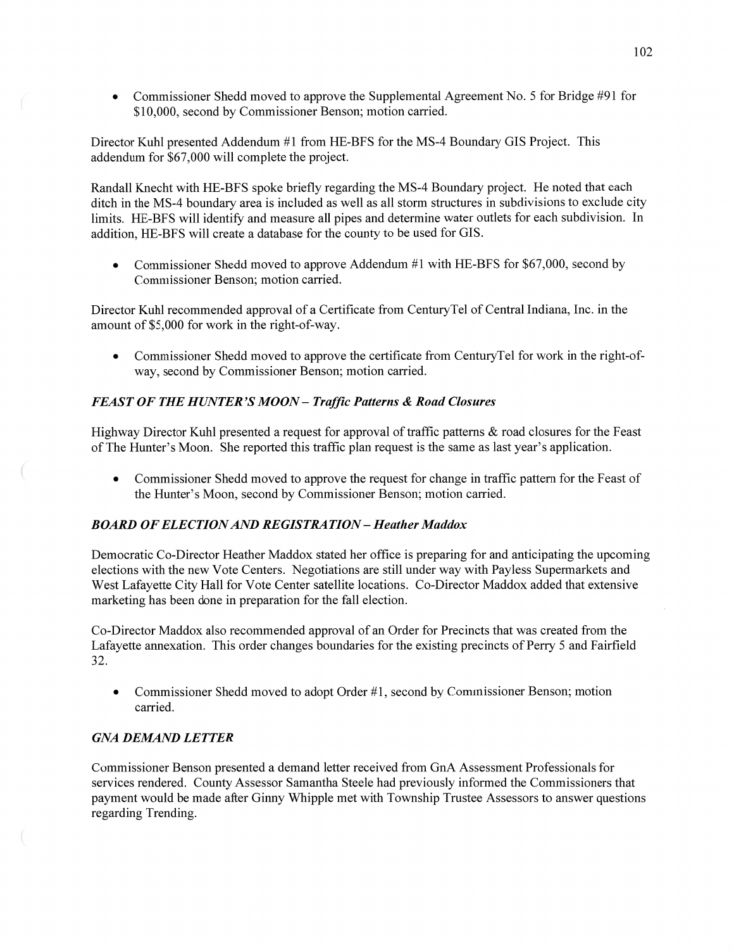**0** Commissioner Shedd moved to approve the Supplemental Agreement No. 5 for Bridge #91 for \$10,000, second by Commissioner Benson; motion carried.

Director Kuhl presented Addendum #1 from HE-BFS for the MS-4 Boundary GIS Project. This addendum for \$67,000 will complete the project.

Randall Knecht with HE-BFS spoke briefly regarding the MS-4 Boundary project. He noted that each ditch in the MS-4 boundary area is included as well as all storm structures in subdivisions to exclude city limits. HE-BFS will identify and measure all pipes and determine water outlets for each subdivision. In addition, HE-BFS will create a database for the county to be used for **GIS.** 

• Commissioner Shedd moved to approve Addendum #1 with HE-BFS for \$67,000, second by Commissioner Benson; motion carried.

Director Kuhl recommended approval of a Certificate from CenturyTel of Central Indiana, Inc. in the amount of \$5,000 for work in the right-of—way.

**0** Commissioner Shedd moved to approve the certificate from CenturyTel for work in the right-ofway, second by Commissioner Benson; motion carried.

### *FEAST* OF THE *HUNTER* 'S *MOON* **—** *Traffic Patterns & Road Closures*

Highway Director Kuhl presented a request for approval of traffic patterns & road closures for the Feast of The Hunter's Moon. She reported this traffic plan request is the same as last year's application.

**0** Commissioner Shedd moved to approve the request for change in traffic pattern for the Feast of the Hunter's Moon, second by Commissioner Benson; motion carried.

#### *BOARD* OF *ELECTION* AND *REGISTRATION* —- *Heather Maddox*

Democratic Co-Director Heather Maddox stated her office is preparing for and anticipating the upcoming elections with the new Vote Centers. Negotiations are still under way with Payless Supermarkets and West Lafayette City Hall for Vote Center satellite locations. Co-Director Maddox added that extensive marketing has been done in preparation for the fall election.

Co-Director Maddox also recommended approval of an Order for Precincts that was created from the Lafayette annexation. This order changes boundaries for the existing precincts of Perry 5 and Fairfield 32.

**0** Commissioner Shedd moved to adopt Order #1, second by Commissioner Benson; motion carried.

#### **GNA DEMAND LETTER**

Commissioner Benson presented **a** demand letter received from GnA Assessment Professionals for services rendered. County Assessor **Samantha** Steele had previously informed the Commissioners that payment would be made after Ginny Whipple met with Township Trustee Assessors to answer questions regarding Trending.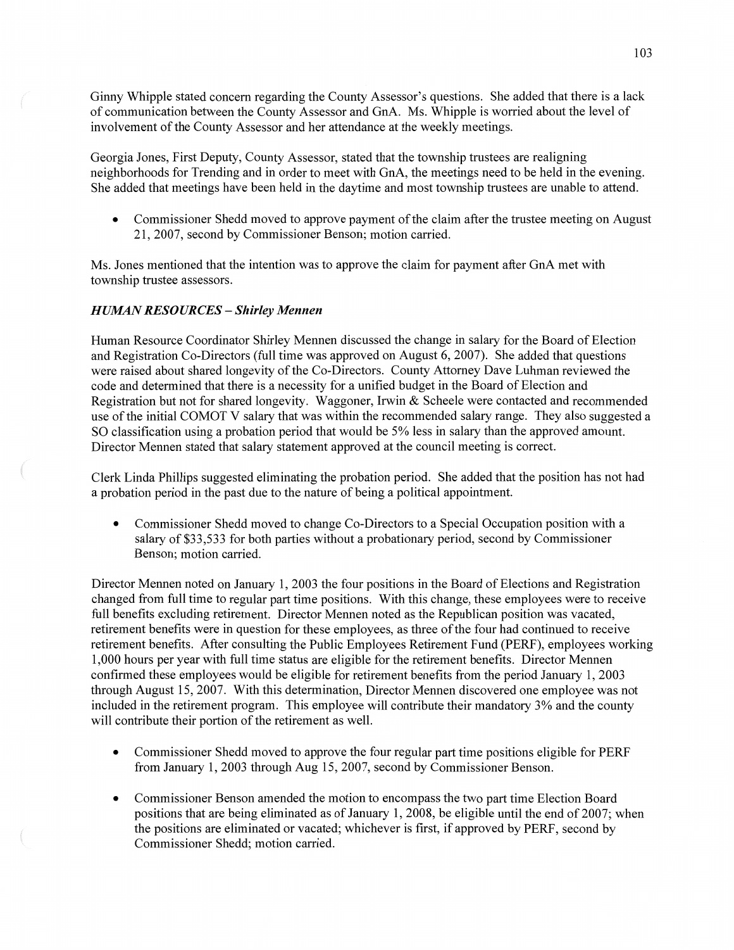Ginny Whipple stated concern regarding the County Assessor's questions. She added that there is a lack of communication between the County Assessor and GnA. Ms. Whipple is worried about the level of involvement of the County Assessor and her attendance at the weekly meetings.

Georgia Jones, First Deputy, County Assessor, stated that the township trustees are realigning neighborhoods for Trending and in order to meet with GnA, the meetings need to be held in the evening. She added **that** meetings have been held in the daytime and most township trustees are unable to attend.

**0** Commissioner Shedd moved to approve payment of the claim after the trustee meeting on August 21, 2007, second by Commissioner Benson; motion carried.

Ms. Jones mentioned that the intention was to approve the claim for payment after GnA met with township trustee assessors.

# *H UIIIAN RESOURCES* — *Shirley Mennen*

**Human** Resource Coordinator Shirley **Mennen** discussed the change in salary for the Board of Election and Registration Co-Directors (full time was approved on August 6, 2007). She added that questions were raised about shared longevity of the Co-Directors. County Attorney Dave Luhman reviewed the code and determined that there is a necessity for a unified budget in the Board of Election and Registration but not for shared longevity. Waggoner, Irwin & Scheele were contacted and recommended use of the initial COMOT V salary **that** was within the recommended salary range. They also suggested a SO classification using a probation period that would be 5% less in salary than the approved amount. Director Mennen stated that salary statement approved at the council meeting is correct.

Clerk Linda Phillips suggested eliminating the probation period. She added that the position has not had a probation period in the past due to the nature of being a political appointment.

**0** Commissioner Shedd moved to change Co-Directors to a Special Occupation position with a salary of \$33,533 for both parties Without a probationary period, second by Commissioner Benson; **motion** carried.

Director Mennen noted on January 1, 2003 the four positions in the Board of Elections and Registration changed fiom full time to regular part time positions. With this change, these employees were to receive full benefits excluding retirement. Director Mennen noted as the Republican position was vacated, retirement benefits were in question for these employees, as three of the four had continued to receive retirement benefits. After consulting the Public Employees Retirement Fund (PERF), employees working 1,000 hours per year with full time status are eligible for the retirement benefits. Director Mennen confirmed these employees would be eligible for retirement benefits from the period January 1, 2003 through August 15, 2007. With this determination, Director Mennen discovered one employee was not included in the retirement program. This employee will contribute their mandatory 3% and the county will contribute their portion of the retirement as well.

- **0** Commissioner Shedd moved to approve the four regular part time positions eligible for PERF from January 1, 2003 through Aug 15, 2007, second by Commissioner Benson.
- **0** Commissioner Benson amended the motion to encompass the two part time Election Board positions **that** are being eliminated as of January 1, 2008, be eligible until the end of 2007; when the positions are eliminated or vacated; Whichever is first, if approved by PERF, second by Commissioner Shedd; motion carried.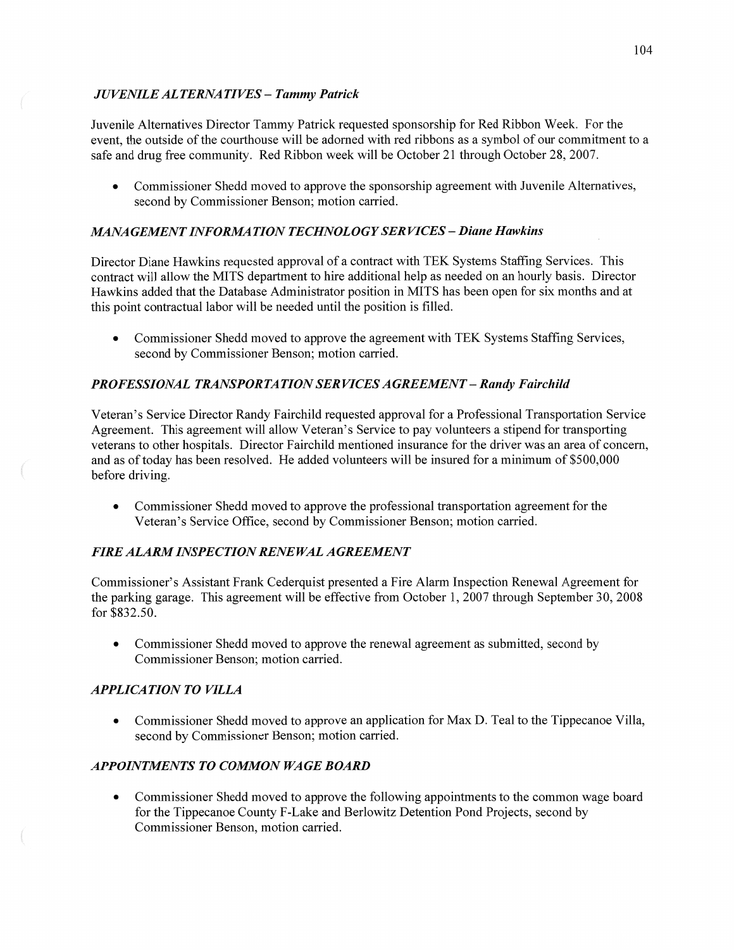# *JUVENILE ALTERNATIVES - Tammy Patrick*

Juvenile Alternatives Director Tammy Patrick requested sponsorship for Red Ribbon Week. For the event, the outside of the courthouse will be adorned with red ribbons as a symbol of our commitment to a safe and drug free community. Red Ribbon week will be October 21 through October 28, 2007.

**0** Commissioner Shedd moved to approve the sponsorship agreement with Juvenile Alternatives, second by Commissioner Benson; motion carried.

# *AlANA GEMENT* INF *ORAM T I* 0N *TECHNOLOGY* SER *VICES* —- *Diane Hawkins*

Director Diane Hawkins requested approval of a contract with TEK Systems Staffing Services. This contract will allow the **MITS** department to hire additional help as needed on an hourly basis. Director Hawkins added that the Database Administrator position in **MITS** has been open for six months and at this point contractual labor will be needed until the position is filled.

**-** Commissioner Shedd moved to approve the agreement with TEK Systems Staffing Services, second by Commissioner Benson; motion carried.

# *PROFESSIONAL TRANSPORTATION* SER *VICES AGREEMENT* **—** *Randy F airchild*

Veteran's Service Director Randy Fairchild requested approval for a Professional Transportation Service Agreement. This agreement will allow Veteran's Service to pay volunteers **a** stipend for transporting veterans to other hospitals. Director Fairchild mentioned insurance for the driver was an area of concern, and as of today has been resolved. He added volunteers will be insured for a minimum of \$500,000 before driving.

**0** Commissioner Shedd moved to approve the professional transportation agreement for the Veteran's Service **Office,** second by Commissioner Benson; motion carried.

# *FIRE ALARM INSPECTION RENEWAL A GREEMEN T*

Commissioner's Assistant Frank Cederquist presented a Fire Alarm Inspection Renewal Agreement for the parking garage. This agreement will be effective from October 1, 2007 through September 30, 2008 for \$832.50.

• Commissioner Shedd moved to approve the renewal agreement as submitted, second by Commissioner Benson; motion carried.

# *APPLICATION TO VILLA*

**0** Commissioner Shedd moved to approve an application for Max D. Teal to the Tippecanoe Villa, second by Commissioner Benson; motion carried.

# *APPOINTMENTS TO COMMON WAGE BOARD*

**0** Commissioner Shedd moved to approve the following appointments to the common wage board for the Tippecanoe County F—Lake and Berlowitz Detention Pond Projects, second by Commissioner Benson, motion carried.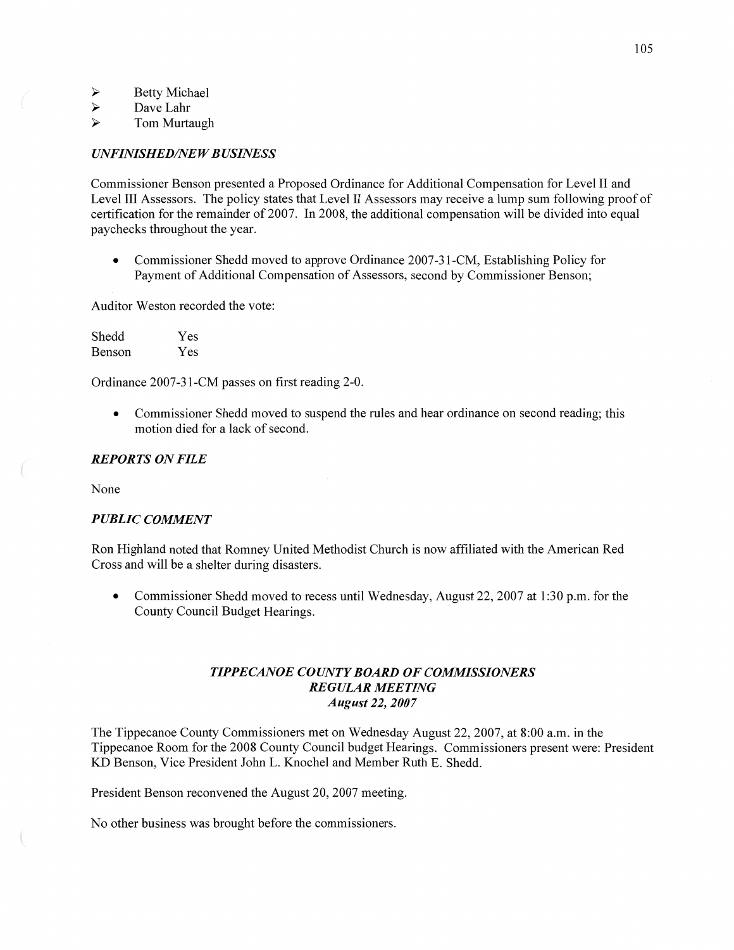- > Betty Michael<br>> Dave Lahr
- Dave Lahr
- **<sup>&</sup>gt;**Tom Murtaugh

# *UNFINISHEDflVE W B USINESS*

Commissioner Benson presented a Proposed Ordinance for Additional Compensation for Level II and Level III Assessors. The policy states that Level II Assessors may receive a lump sum following proof of certification for the remainder of 2007. In 2008, the additional compensation will be divided into equal paychecks throughout the year.

**0** Commissioner Shedd moved to approve Ordinance 2007-31-CM, Establishing Policy for Payment of Additional Compensation of Assessors, second by Commissioner Benson;

Auditor Weston recorded the vote:

| Shedd  | Yes |
|--------|-----|
| Benson | Yes |

Ordinance 2007-31-CM passes on first reading 2—0.

• Commissioner Shedd moved to suspend the rules and hear ordinance on second reading; this motion died for **a** lack of second.

### *REPORTS* ON *FILE*

None

#### *PUBLIC COMMENT*

Ron Highland noted **that** Romney United Methodist Church is now affiliated with the American Red Cross and will be **a** shelter during disasters.

**0** Commissioner Shedd **moved** to recess until Wednesday, August 22, 2007 at 1:30 pm. for the County Council Budget Hearings.

### *TIPPECANOE COUNTY BOARD* OF *COMMISSIONERS REGULAR MEETING August* 22, *2007*

The Tippecanoe County Commissioners met on Wednesday August 22, 2007, at **8:00** am. in the Tippecanoe Room for the 2008 County Council budget Hearings. Commissioners present were: President KD Benson, **Vice** President John L. Knochel and Member Ruth B. Shedd.

President Benson reconvened the August 20, 2007 meeting.

No other business was brought before the commissioners.